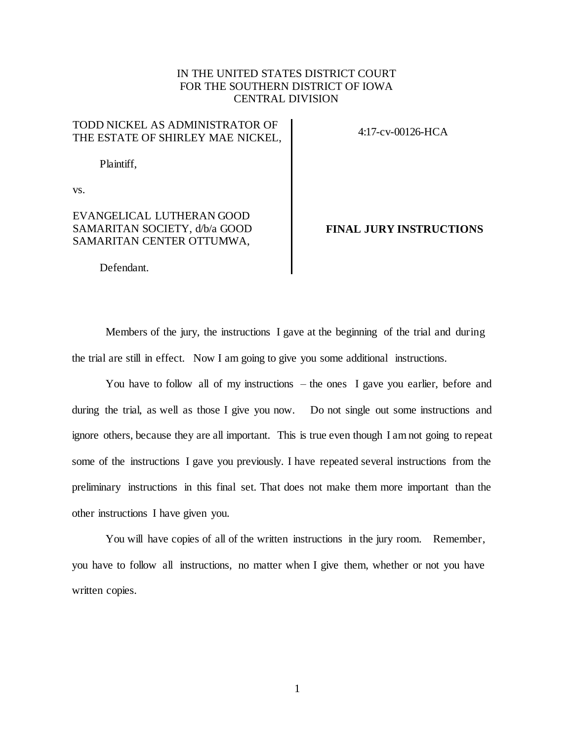### IN THE UNITED STATES DISTRICT COURT FOR THE SOUTHERN DISTRICT OF IOWA CENTRAL DIVISION

### TODD NICKEL AS ADMINISTRATOR OF THE ESTATE OF SHIRLEY MAE NICKEL,

Plaintiff,

4:17-cv-00126-HCA

vs.

### EVANGELICAL LUTHERAN GOOD SAMARITAN SOCIETY, d/b/a GOOD SAMARITAN CENTER OTTUMWA,

**FINAL JURY INSTRUCTIONS**

Defendant.

Members of the jury, the instructions I gave at the beginning of the trial and during the trial are still in effect. Now I am going to give you some additional instructions.

You have to follow all of my instructions – the ones I gave you earlier, before and during the trial, as well as those I give you now. Do not single out some instructions and ignore others, because they are all important. This is true even though I am not going to repeat some of the instructions I gave you previously. I have repeated several instructions from the preliminary instructions in this final set. That does not make them more important than the other instructions I have given you.

You will have copies of all of the written instructions in the jury room. Remember, you have to follow all instructions, no matter when I give them, whether or not you have written copies.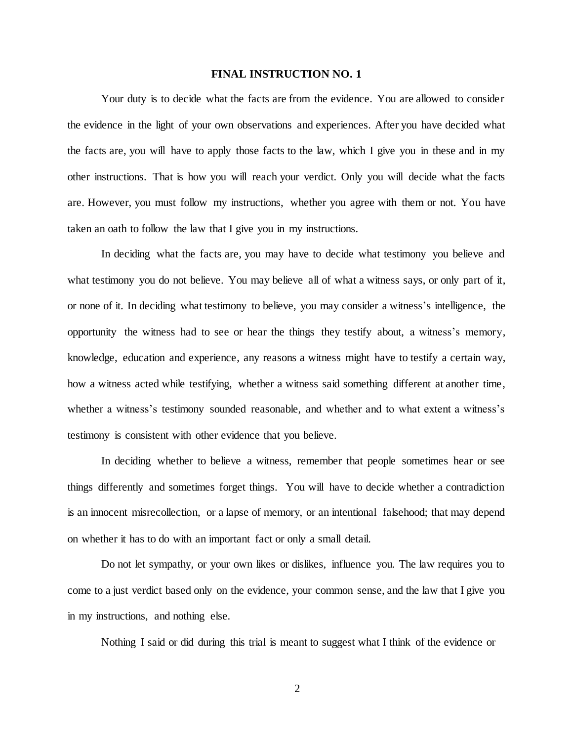Your duty is to decide what the facts are from the evidence. You are allowed to consider the evidence in the light of your own observations and experiences. After you have decided what the facts are, you will have to apply those facts to the law, which I give you in these and in my other instructions. That is how you will reach your verdict. Only you will decide what the facts are. However, you must follow my instructions, whether you agree with them or not. You have taken an oath to follow the law that I give you in my instructions.

In deciding what the facts are, you may have to decide what testimony you believe and what testimony you do not believe. You may believe all of what a witness says, or only part of it, or none of it. In deciding what testimony to believe, you may consider a witness's intelligence, the opportunity the witness had to see or hear the things they testify about, a witness's memory, knowledge, education and experience, any reasons a witness might have to testify a certain way, how a witness acted while testifying, whether a witness said something different at another time, whether a witness's testimony sounded reasonable, and whether and to what extent a witness's testimony is consistent with other evidence that you believe.

In deciding whether to believe a witness, remember that people sometimes hear or see things differently and sometimes forget things. You will have to decide whether a contradiction is an innocent misrecollection, or a lapse of memory, or an intentional falsehood; that may depend on whether it has to do with an important fact or only a small detail.

Do not let sympathy, or your own likes or dislikes, influence you. The law requires you to come to a just verdict based only on the evidence, your common sense, and the law that I give you in my instructions, and nothing else.

Nothing I said or did during this trial is meant to suggest what I think of the evidence or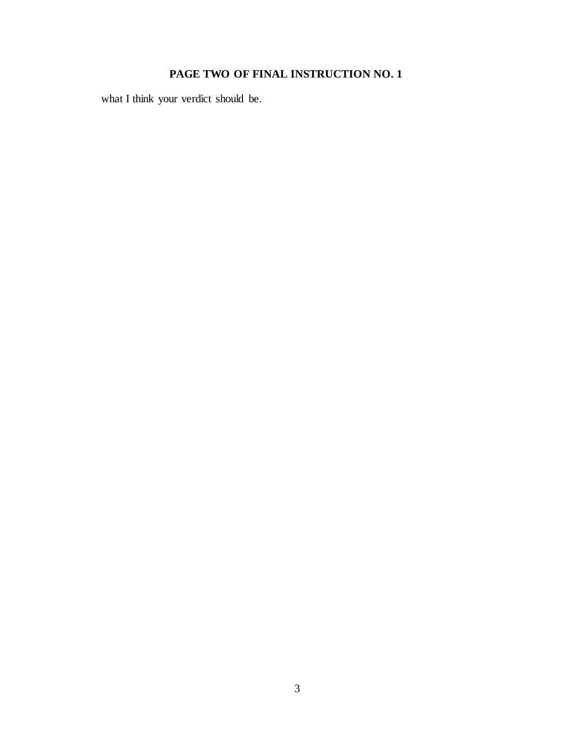# **PAGE TWO OF FINAL INSTRUCTION NO. 1**

what I think your verdict should be.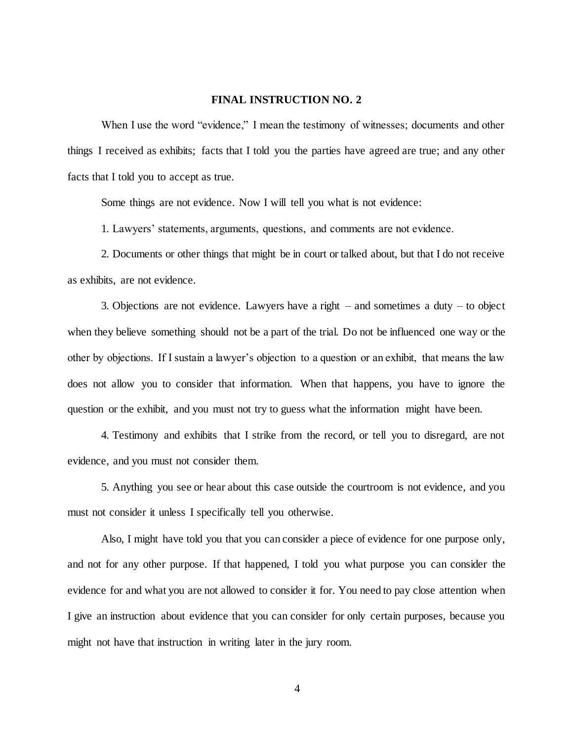When I use the word "evidence," I mean the testimony of witnesses; documents and other things I received as exhibits; facts that I told you the parties have agreed are true; and any other facts that I told you to accept as true.

Some things are not evidence. Now I will tell you what is not evidence:

1. Lawyers' statements, arguments, questions, and comments are not evidence.

2. Documents or other things that might be in court or talked about, but that I do not receive as exhibits, are not evidence.

3. Objections are not evidence. Lawyers have a right – and sometimes a duty – to object when they believe something should not be a part of the trial. Do not be influenced one way or the other by objections. If I sustain a lawyer's objection to a question or an exhibit, that means the law does not allow you to consider that information. When that happens, you have to ignore the question or the exhibit, and you must not try to guess what the information might have been.

4. Testimony and exhibits that I strike from the record, or tell you to disregard, are not evidence, and you must not consider them.

5. Anything you see or hear about this case outside the courtroom is not evidence, and you must not consider it unless I specifically tell you otherwise.

Also, I might have told you that you can consider a piece of evidence for one purpose only, and not for any other purpose. If that happened, I told you what purpose you can consider the evidence for and what you are not allowed to consider it for. You need to pay close attention when I give an instruction about evidence that you can consider for only certain purposes, because you might not have that instruction in writing later in the jury room.

4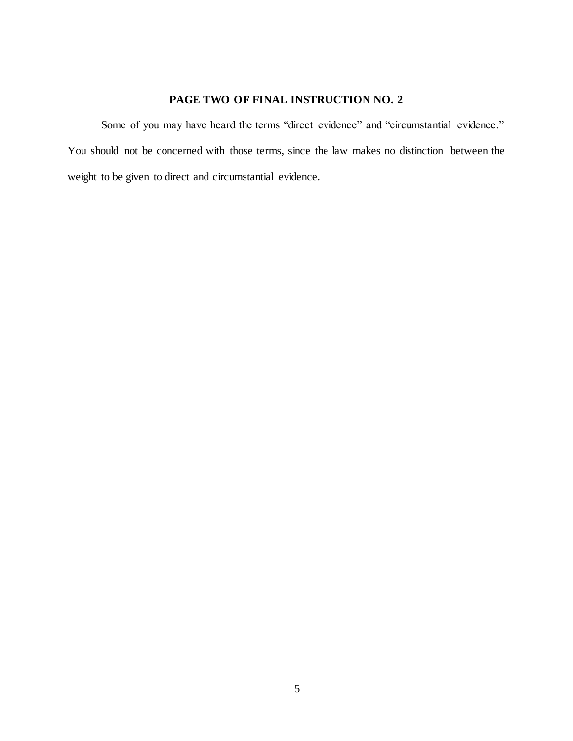# **PAGE TWO OF FINAL INSTRUCTION NO. 2**

Some of you may have heard the terms "direct evidence" and "circumstantial evidence." You should not be concerned with those terms, since the law makes no distinction between the weight to be given to direct and circumstantial evidence.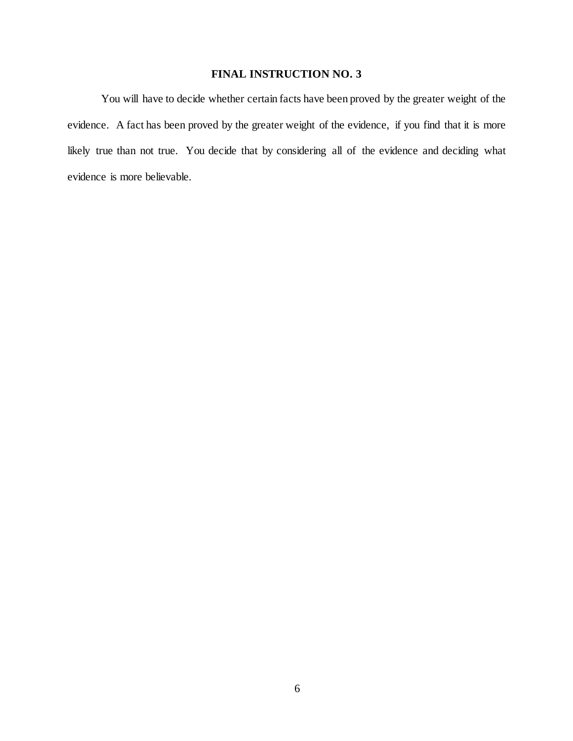You will have to decide whether certain facts have been proved by the greater weight of the evidence. A fact has been proved by the greater weight of the evidence, if you find that it is more likely true than not true. You decide that by considering all of the evidence and deciding what evidence is more believable.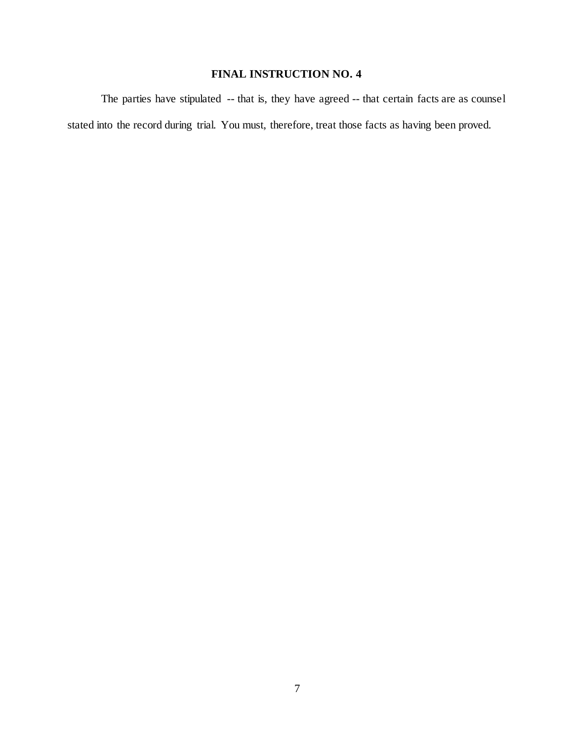The parties have stipulated -- that is, they have agreed -- that certain facts are as counsel stated into the record during trial. You must, therefore, treat those facts as having been proved.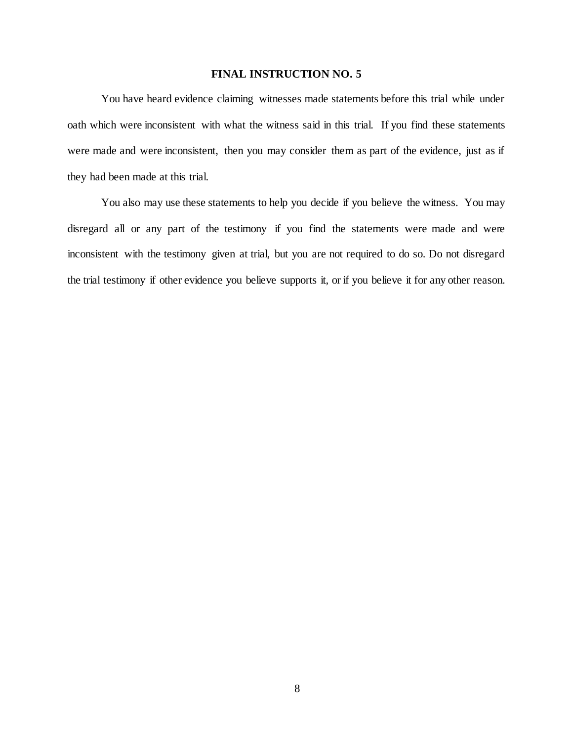You have heard evidence claiming witnesses made statements before this trial while under oath which were inconsistent with what the witness said in this trial. If you find these statements were made and were inconsistent, then you may consider them as part of the evidence, just as if they had been made at this trial.

You also may use these statements to help you decide if you believe the witness. You may disregard all or any part of the testimony if you find the statements were made and were inconsistent with the testimony given at trial, but you are not required to do so. Do not disregard the trial testimony if other evidence you believe supports it, or if you believe it for any other reason.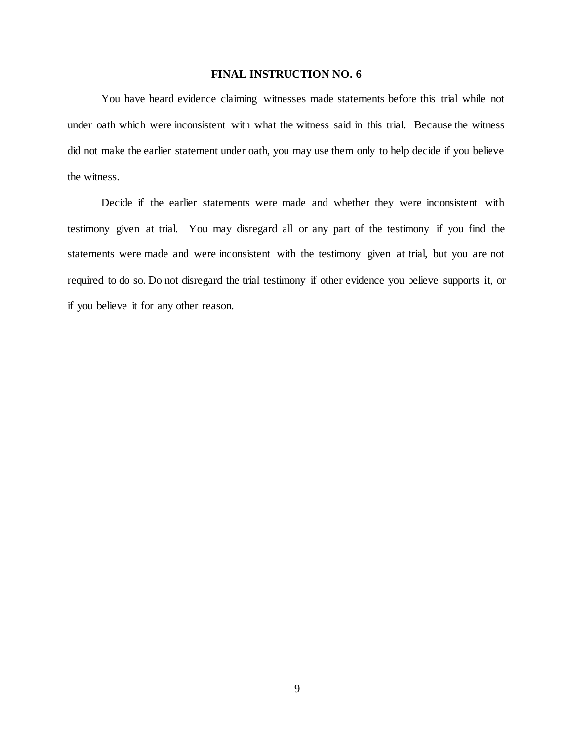You have heard evidence claiming witnesses made statements before this trial while not under oath which were inconsistent with what the witness said in this trial. Because the witness did not make the earlier statement under oath, you may use them only to help decide if you believe the witness.

Decide if the earlier statements were made and whether they were inconsistent with testimony given at trial. You may disregard all or any part of the testimony if you find the statements were made and were inconsistent with the testimony given at trial, but you are not required to do so. Do not disregard the trial testimony if other evidence you believe supports it, or if you believe it for any other reason.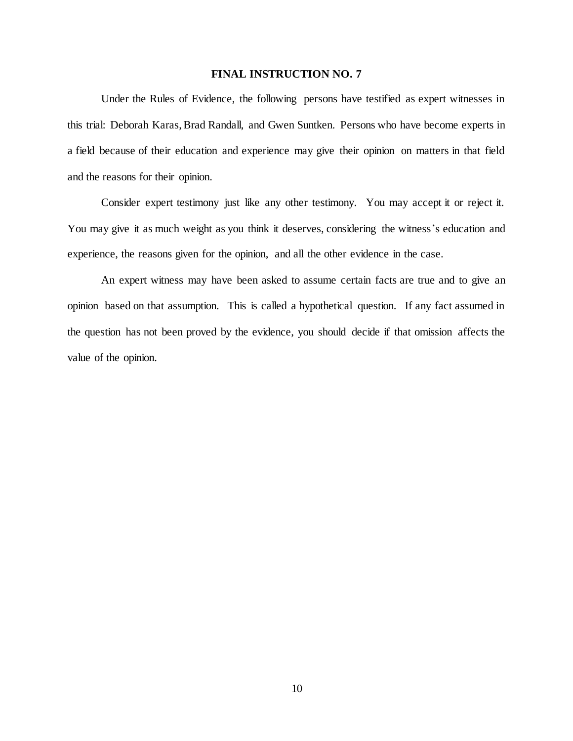Under the Rules of Evidence, the following persons have testified as expert witnesses in this trial: Deborah Karas, Brad Randall, and Gwen Suntken. Persons who have become experts in a field because of their education and experience may give their opinion on matters in that field and the reasons for their opinion.

Consider expert testimony just like any other testimony. You may accept it or reject it. You may give it as much weight as you think it deserves, considering the witness's education and experience, the reasons given for the opinion, and all the other evidence in the case.

An expert witness may have been asked to assume certain facts are true and to give an opinion based on that assumption. This is called a hypothetical question. If any fact assumed in the question has not been proved by the evidence, you should decide if that omission affects the value of the opinion.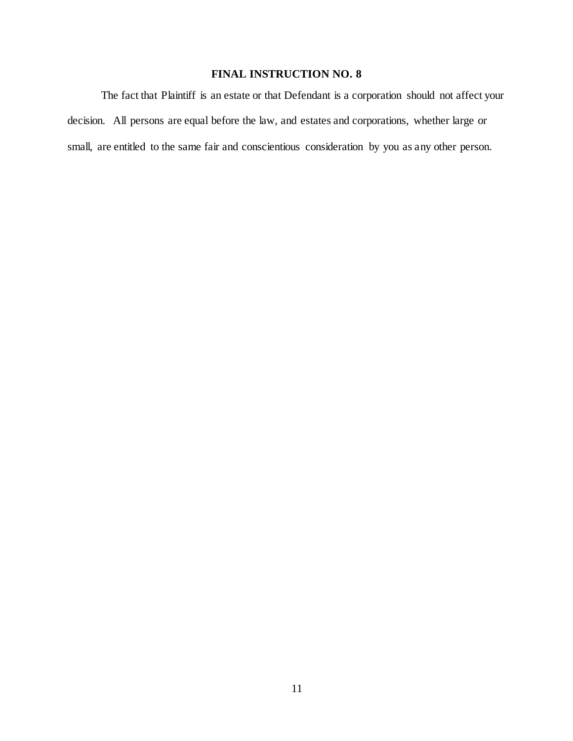The fact that Plaintiff is an estate or that Defendant is a corporation should not affect your decision. All persons are equal before the law, and estates and corporations, whether large or small, are entitled to the same fair and conscientious consideration by you as any other person.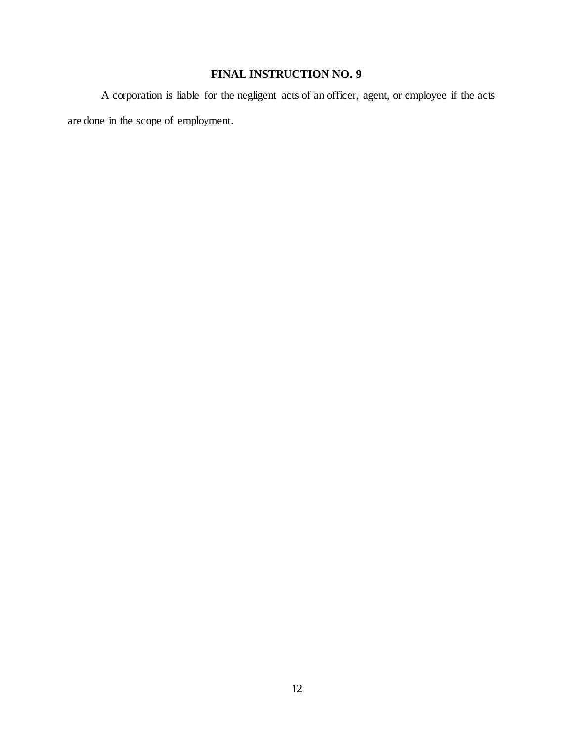A corporation is liable for the negligent acts of an officer, agent, or employee if the acts are done in the scope of employment.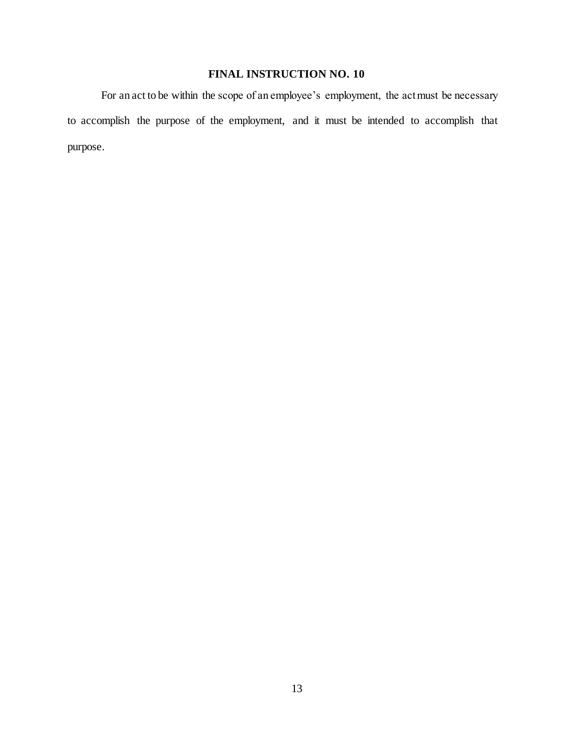For an act to be within the scope of an employee's employment, the act must be necessary to accomplish the purpose of the employment, and it must be intended to accomplish that purpose.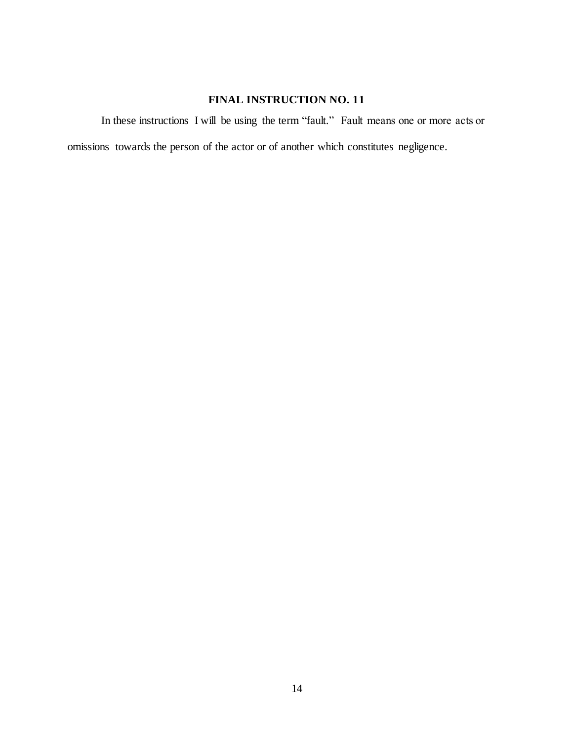In these instructions I will be using the term "fault." Fault means one or more acts or omissions towards the person of the actor or of another which constitutes negligence.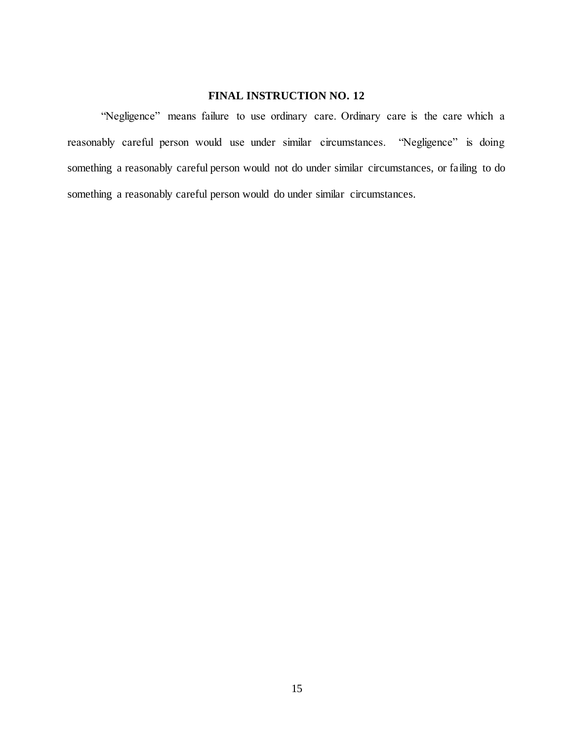"Negligence" means failure to use ordinary care. Ordinary care is the care which a reasonably careful person would use under similar circumstances. "Negligence" is doing something a reasonably careful person would not do under similar circumstances, or failing to do something a reasonably careful person would do under similar circumstances.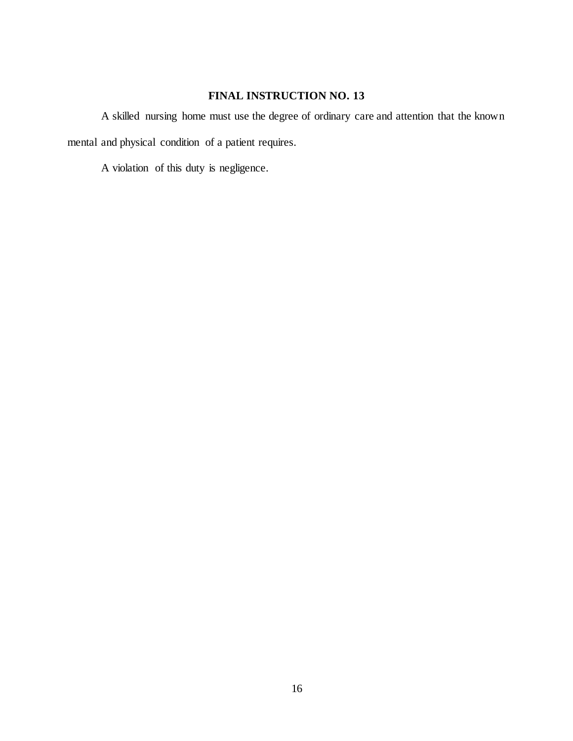A skilled nursing home must use the degree of ordinary care and attention that the known mental and physical condition of a patient requires.

A violation of this duty is negligence.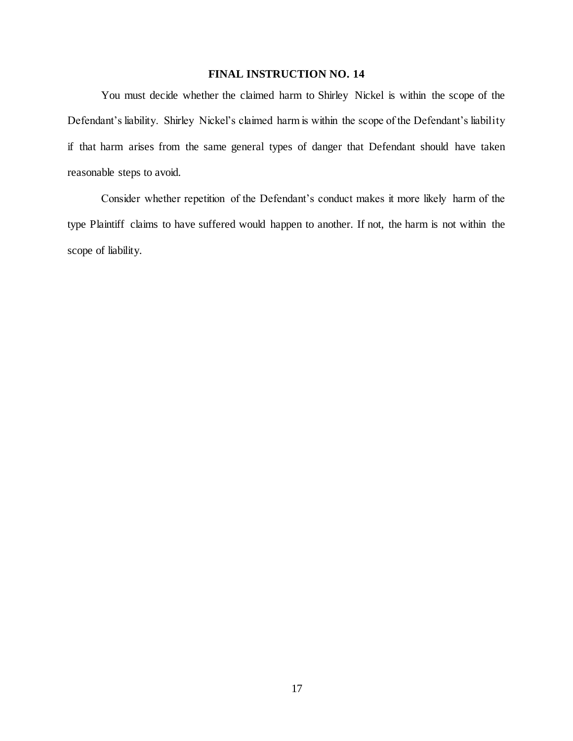You must decide whether the claimed harm to Shirley Nickel is within the scope of the Defendant's liability. Shirley Nickel's claimed harm is within the scope of the Defendant's liability if that harm arises from the same general types of danger that Defendant should have taken reasonable steps to avoid.

Consider whether repetition of the Defendant's conduct makes it more likely harm of the type Plaintiff claims to have suffered would happen to another. If not, the harm is not within the scope of liability.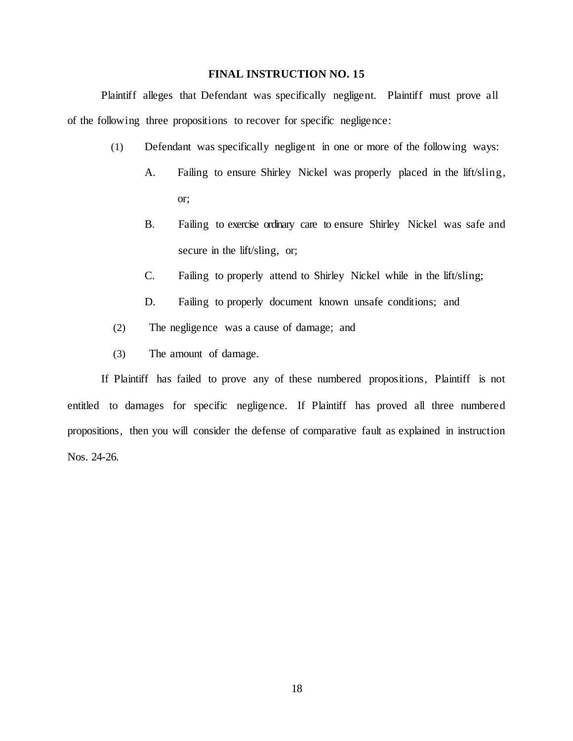Plaintiff alleges that Defendant was specifically negligent. Plaintiff must prove all of the following three propositions to recover for specific negligence:

- (1) Defendant was specifically negligent in one or more of the following ways:
	- A. Failing to ensure Shirley Nickel was properly placed in the lift/sling, or;
	- B. Failing to exercise ordinary care to ensure Shirley Nickel was safe and secure in the lift/sling, or;
	- C. Failing to properly attend to Shirley Nickel while in the lift/sling;
	- D. Failing to properly document known unsafe conditions; and
- (2) The negligence was a cause of damage; and
- (3) The amount of damage.

If Plaintiff has failed to prove any of these numbered propositions, Plaintiff is not entitled to damages for specific negligence. If Plaintiff has proved all three numbered propositions, then you will consider the defense of comparative fault as explained in instruction Nos. 24-26.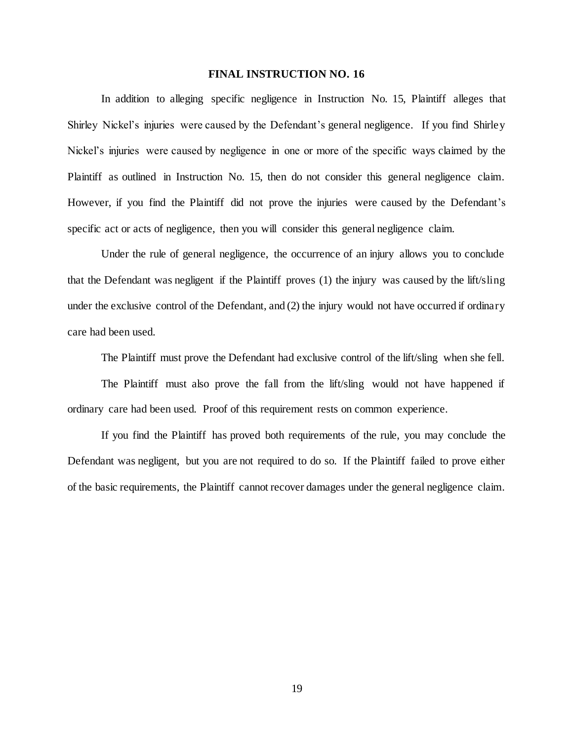In addition to alleging specific negligence in Instruction No. 15, Plaintiff alleges that Shirley Nickel's injuries were caused by the Defendant's general negligence. If you find Shirley Nickel's injuries were caused by negligence in one or more of the specific ways claimed by the Plaintiff as outlined in Instruction No. 15, then do not consider this general negligence claim. However, if you find the Plaintiff did not prove the injuries were caused by the Defendant's specific act or acts of negligence, then you will consider this general negligence claim.

Under the rule of general negligence, the occurrence of an injury allows you to conclude that the Defendant was negligent if the Plaintiff proves (1) the injury was caused by the lift/sling under the exclusive control of the Defendant, and (2) the injury would not have occurred if ordinary care had been used.

The Plaintiff must prove the Defendant had exclusive control of the lift/sling when she fell.

The Plaintiff must also prove the fall from the lift/sling would not have happened if ordinary care had been used. Proof of this requirement rests on common experience.

If you find the Plaintiff has proved both requirements of the rule, you may conclude the Defendant was negligent, but you are not required to do so. If the Plaintiff failed to prove either of the basic requirements, the Plaintiff cannot recover damages under the general negligence claim.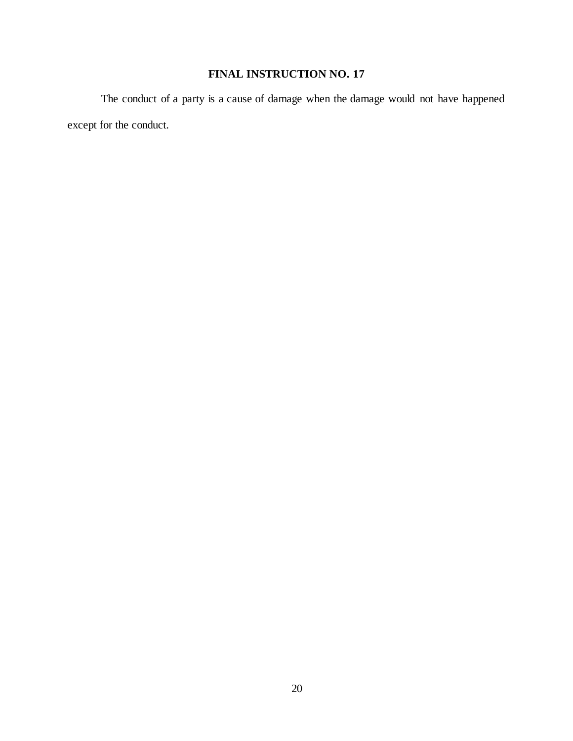The conduct of a party is a cause of damage when the damage would not have happened except for the conduct.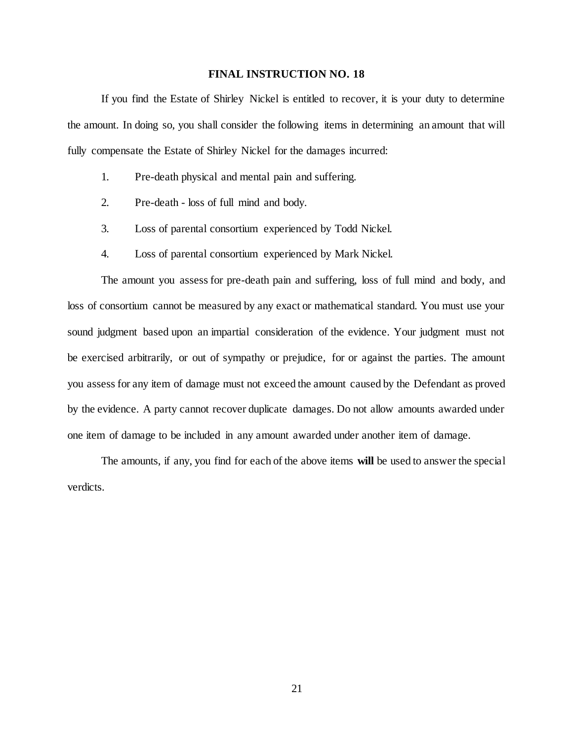If you find the Estate of Shirley Nickel is entitled to recover, it is your duty to determine the amount. In doing so, you shall consider the following items in determining an amount that will fully compensate the Estate of Shirley Nickel for the damages incurred:

- 1. Pre-death physical and mental pain and suffering.
- 2. Pre-death loss of full mind and body.
- 3. Loss of parental consortium experienced by Todd Nickel.
- 4. Loss of parental consortium experienced by Mark Nickel.

The amount you assess for pre-death pain and suffering, loss of full mind and body, and loss of consortium cannot be measured by any exact or mathematical standard. You must use your sound judgment based upon an impartial consideration of the evidence. Your judgment must not be exercised arbitrarily, or out of sympathy or prejudice, for or against the parties. The amount you assess for any item of damage must not exceed the amount caused by the Defendant as proved by the evidence. A party cannot recover duplicate damages. Do not allow amounts awarded under one item of damage to be included in any amount awarded under another item of damage.

The amounts, if any, you find for each of the above items **will** be used to answer the special verdicts.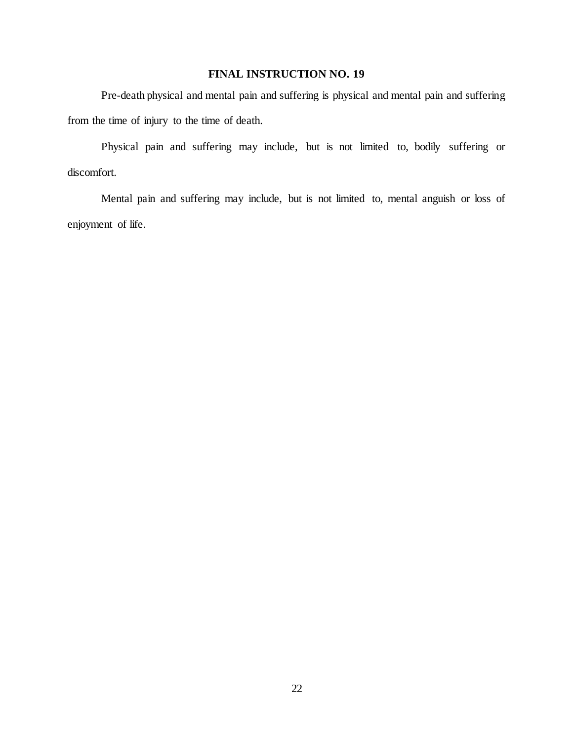Pre-death physical and mental pain and suffering is physical and mental pain and suffering from the time of injury to the time of death.

Physical pain and suffering may include, but is not limited to, bodily suffering or discomfort.

Mental pain and suffering may include, but is not limited to, mental anguish or loss of enjoyment of life.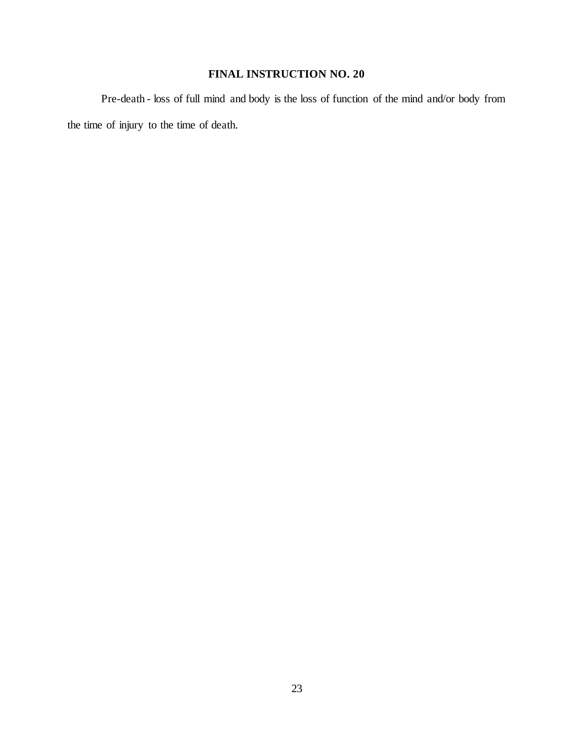Pre-death - loss of full mind and body is the loss of function of the mind and/or body from the time of injury to the time of death.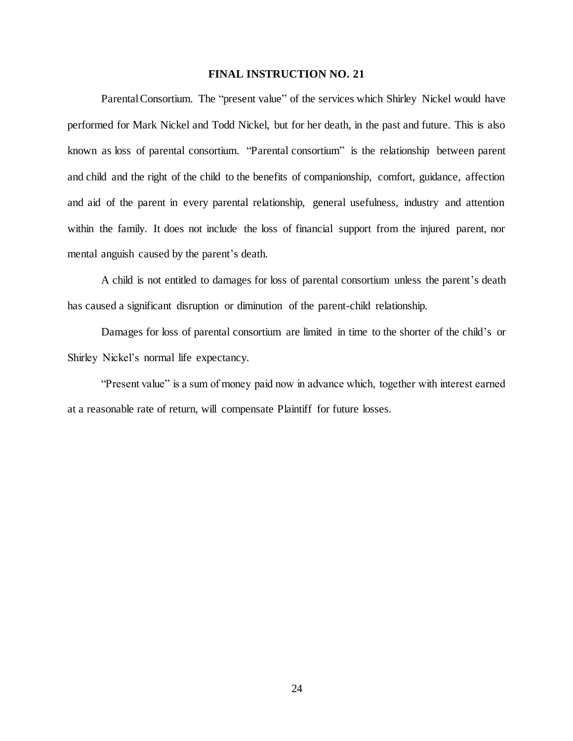Parental Consortium. The "present value" of the services which Shirley Nickel would have performed for Mark Nickel and Todd Nickel, but for her death, in the past and future. This is also known as loss of parental consortium. "Parental consortium" is the relationship between parent and child and the right of the child to the benefits of companionship, comfort, guidance, affection and aid of the parent in every parental relationship, general usefulness, industry and attention within the family. It does not include the loss of financial support from the injured parent, nor mental anguish caused by the parent's death.

A child is not entitled to damages for loss of parental consortium unless the parent's death has caused a significant disruption or diminution of the parent-child relationship.

Damages for loss of parental consortium are limited in time to the shorter of the child's or Shirley Nickel's normal life expectancy.

"Present value" is a sum of money paid now in advance which, together with interest earned at a reasonable rate of return, will compensate Plaintiff for future losses.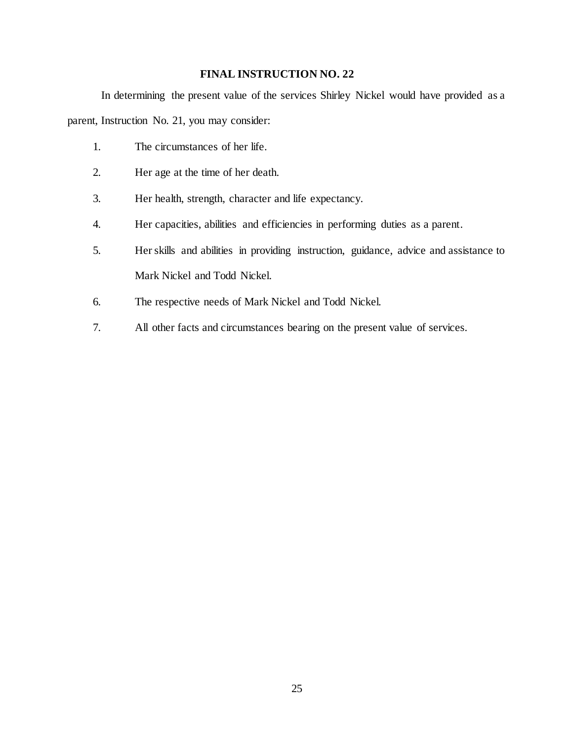In determining the present value of the services Shirley Nickel would have provided as a parent, Instruction No. 21, you may consider:

- 1. The circumstances of her life.
- 2. Her age at the time of her death.
- 3. Her health, strength, character and life expectancy.
- 4. Her capacities, abilities and efficiencies in performing duties as a parent.
- 5. Her skills and abilities in providing instruction, guidance, advice and assistance to Mark Nickel and Todd Nickel.
- 6. The respective needs of Mark Nickel and Todd Nickel.
- 7. All other facts and circumstances bearing on the present value of services.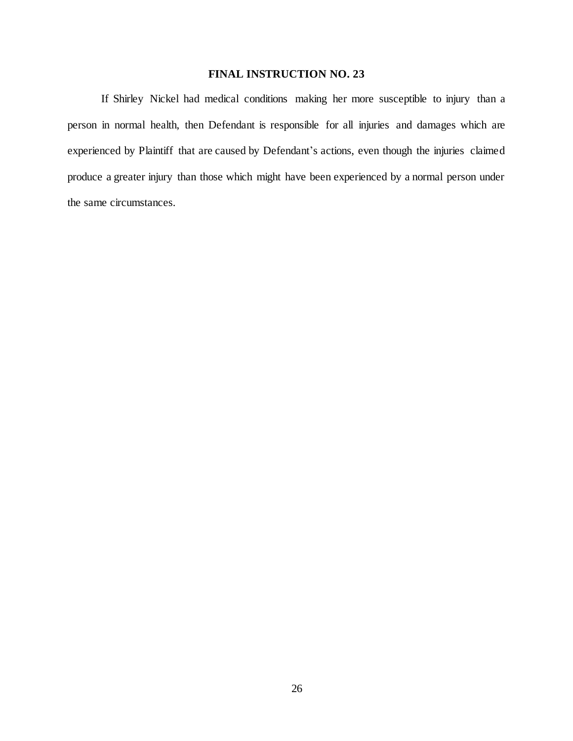If Shirley Nickel had medical conditions making her more susceptible to injury than a person in normal health, then Defendant is responsible for all injuries and damages which are experienced by Plaintiff that are caused by Defendant's actions, even though the injuries claimed produce a greater injury than those which might have been experienced by a normal person under the same circumstances.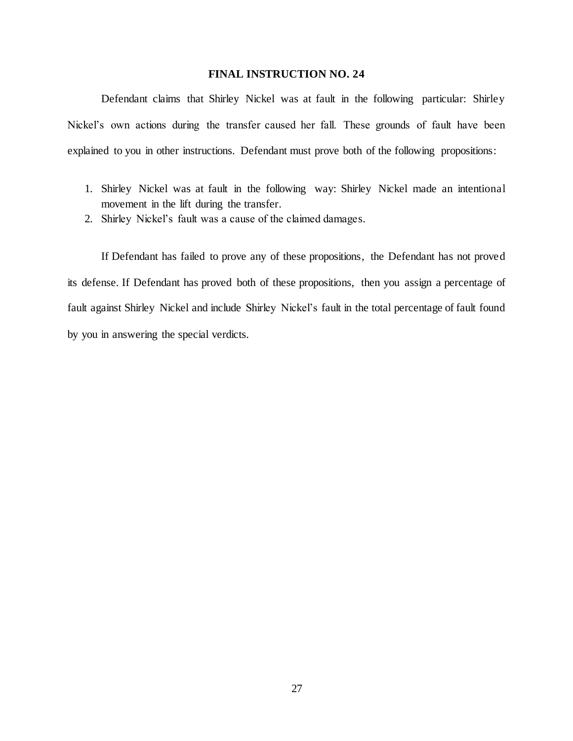Defendant claims that Shirley Nickel was at fault in the following particular: Shirley Nickel's own actions during the transfer caused her fall. These grounds of fault have been explained to you in other instructions. Defendant must prove both of the following propositions:

- 1. Shirley Nickel was at fault in the following way: Shirley Nickel made an intentional movement in the lift during the transfer.
- 2. Shirley Nickel's fault was a cause of the claimed damages.

If Defendant has failed to prove any of these propositions, the Defendant has not proved its defense. If Defendant has proved both of these propositions, then you assign a percentage of fault against Shirley Nickel and include Shirley Nickel's fault in the total percentage of fault found by you in answering the special verdicts.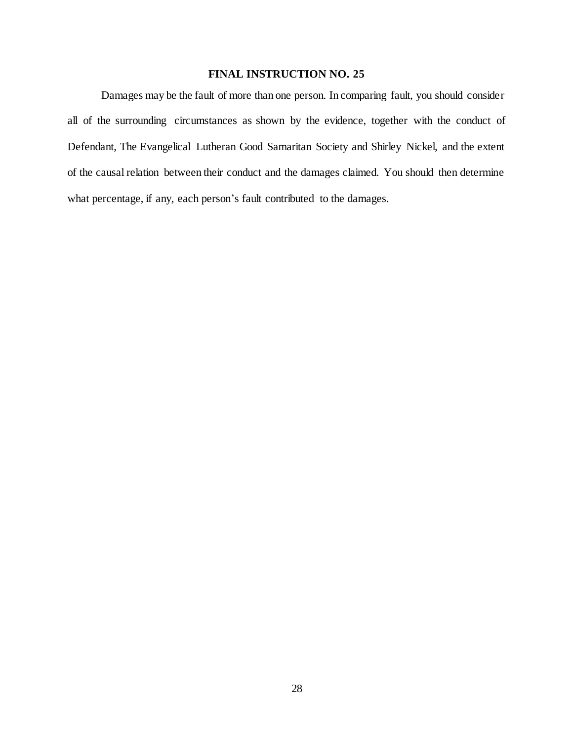Damages may be the fault of more than one person. In comparing fault, you should consider all of the surrounding circumstances as shown by the evidence, together with the conduct of Defendant, The Evangelical Lutheran Good Samaritan Society and Shirley Nickel, and the extent of the causal relation between their conduct and the damages claimed. You should then determine what percentage, if any, each person's fault contributed to the damages.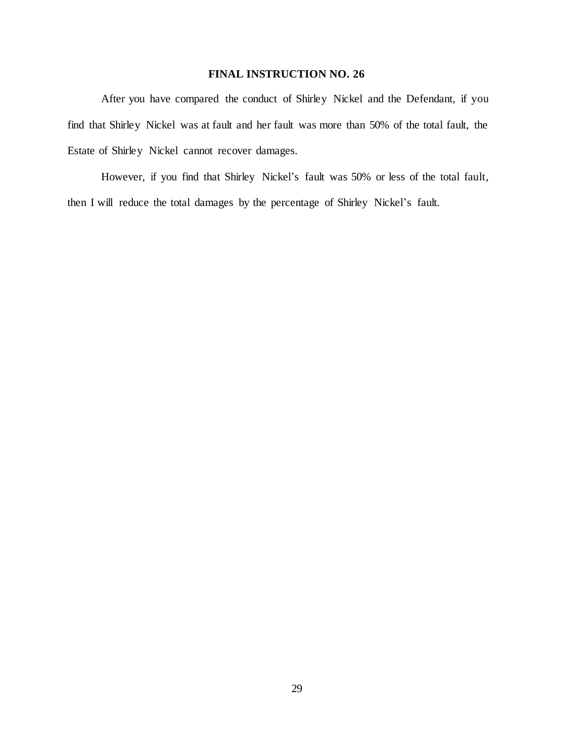After you have compared the conduct of Shirley Nickel and the Defendant, if you find that Shirley Nickel was at fault and her fault was more than 50% of the total fault, the Estate of Shirley Nickel cannot recover damages.

However, if you find that Shirley Nickel's fault was 50% or less of the total fault, then I will reduce the total damages by the percentage of Shirley Nickel's fault.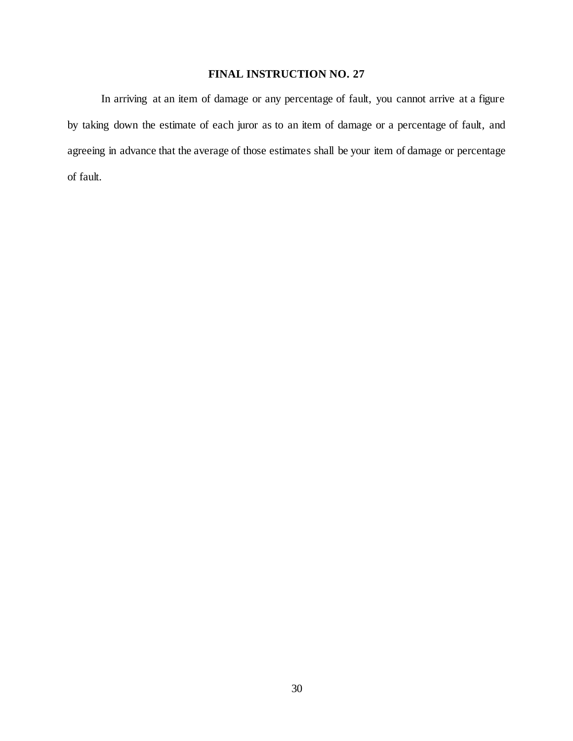In arriving at an item of damage or any percentage of fault, you cannot arrive at a figure by taking down the estimate of each juror as to an item of damage or a percentage of fault, and agreeing in advance that the average of those estimates shall be your item of damage or percentage of fault.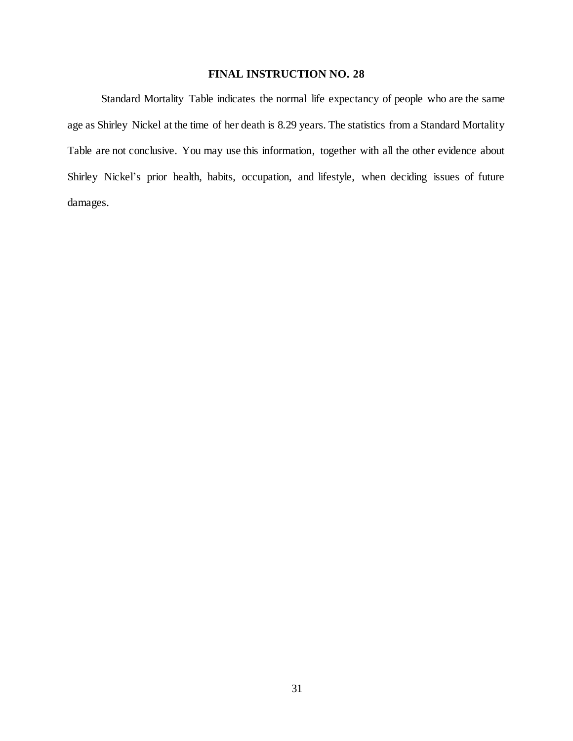Standard Mortality Table indicates the normal life expectancy of people who are the same age as Shirley Nickel at the time of her death is 8.29 years. The statistics from a Standard Mortality Table are not conclusive. You may use this information, together with all the other evidence about Shirley Nickel's prior health, habits, occupation, and lifestyle, when deciding issues of future damages.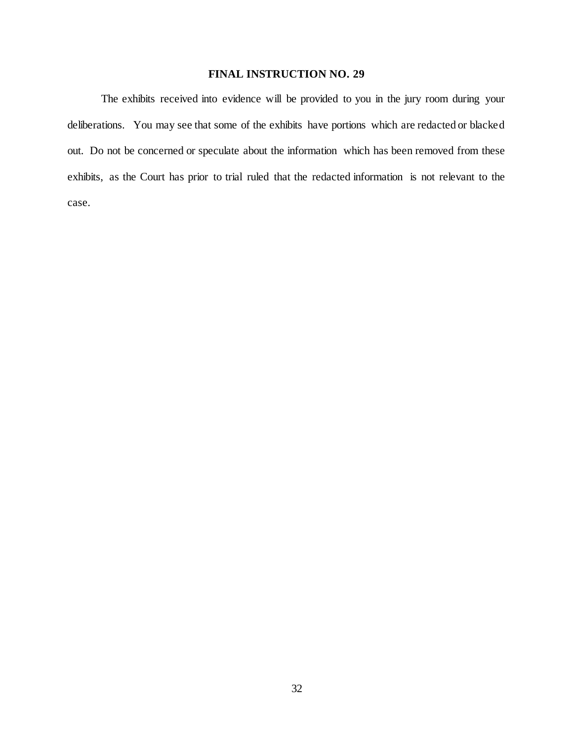The exhibits received into evidence will be provided to you in the jury room during your deliberations. You may see that some of the exhibits have portions which are redacted or blacked out. Do not be concerned or speculate about the information which has been removed from these exhibits, as the Court has prior to trial ruled that the redacted information is not relevant to the case.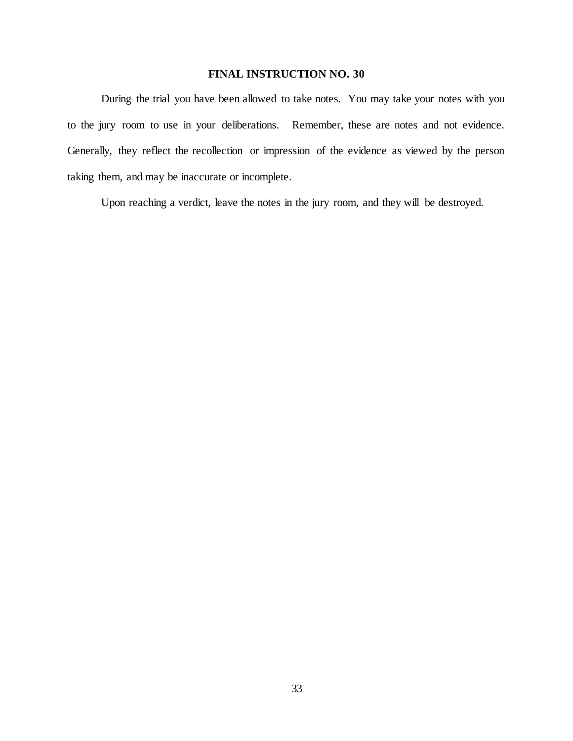During the trial you have been allowed to take notes. You may take your notes with you to the jury room to use in your deliberations. Remember, these are notes and not evidence. Generally, they reflect the recollection or impression of the evidence as viewed by the person taking them, and may be inaccurate or incomplete.

Upon reaching a verdict, leave the notes in the jury room, and they will be destroyed.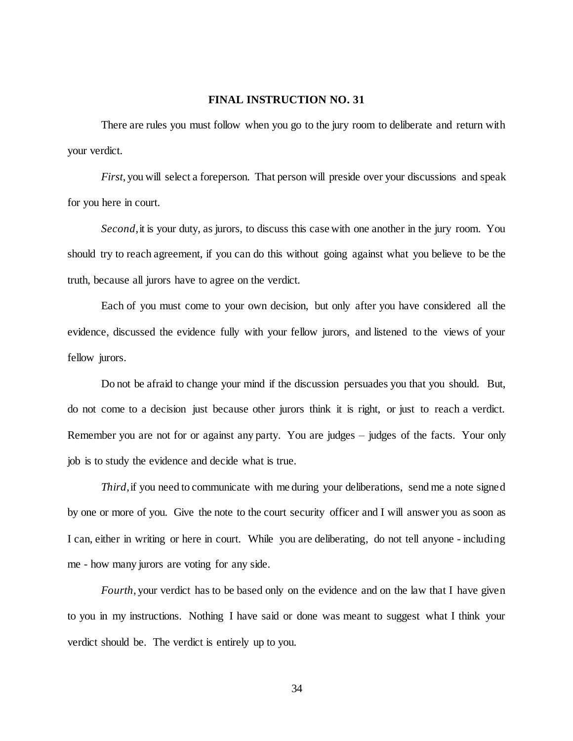There are rules you must follow when you go to the jury room to deliberate and return with your verdict.

*First*, you will select a foreperson. That person will preside over your discussions and speak for you here in court.

*Second*, it is your duty, as jurors, to discuss this case with one another in the jury room. You should try to reach agreement, if you can do this without going against what you believe to be the truth, because all jurors have to agree on the verdict.

Each of you must come to your own decision, but only after you have considered all the evidence, discussed the evidence fully with your fellow jurors, and listened to the views of your fellow jurors.

Do not be afraid to change your mind if the discussion persuades you that you should. But, do not come to a decision just because other jurors think it is right, or just to reach a verdict. Remember you are not for or against any party. You are judges – judges of the facts. Your only job is to study the evidence and decide what is true.

*Third*, if you need to communicate with me during your deliberations, send me a note signed by one or more of you. Give the note to the court security officer and I will answer you as soon as I can, either in writing or here in court. While you are deliberating, do not tell anyone - including me - how many jurors are voting for any side.

*Fourth*, your verdict has to be based only on the evidence and on the law that I have given to you in my instructions. Nothing I have said or done was meant to suggest what I think your verdict should be. The verdict is entirely up to you.

34